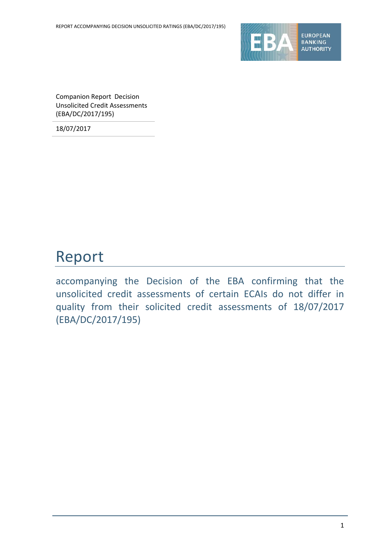

Companion Report Decision Unsolicited Credit Assessments (EBA/DC/2017/195)

18/07/2017

# Report

accompanying the Decision of the EBA confirming that the unsolicited credit assessments of certain ECAIs do not differ in quality from their solicited credit assessments of 18/07/2017 (EBA/DC/2017/195)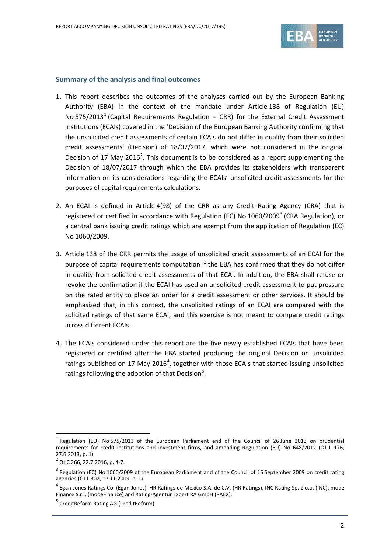

### **Summary of the analysis and final outcomes**

- 1. This report describes the outcomes of the analyses carried out by the European Banking Authority (EBA) in the context of the mandate under Article 138 of Regulation (EU) No 575/20[1](#page-1-0)3<sup>1</sup> (Capital Requirements Regulation – CRR) for the External Credit Assessment Institutions (ECAIs) covered in the 'Decision of the European Banking Authority confirming that the unsolicited credit assessments of certain ECAIs do not differ in quality from their solicited credit assessments' (Decision) of 18/07/2017, which were not considered in the original Decision of 17 May [2](#page-1-1)016<sup>2</sup>. This document is to be considered as a report supplementing the Decision of 18/07/2017 through which the EBA provides its stakeholders with transparent information on its considerations regarding the ECAIs' unsolicited credit assessments for the purposes of capital requirements calculations.
- 2. An ECAI is defined in Article 4(98) of the CRR as any Credit Rating Agency (CRA) that is registered or certified in accordance with Regulation (EC) No  $1060/2009<sup>3</sup>$  $1060/2009<sup>3</sup>$  $1060/2009<sup>3</sup>$  (CRA Regulation), or a central bank issuing credit ratings which are exempt from the application of Regulation (EC) No 1060/2009.
- 3. Article 138 of the CRR permits the usage of unsolicited credit assessments of an ECAI for the purpose of capital requirements computation if the EBA has confirmed that they do not differ in quality from solicited credit assessments of that ECAI. In addition, the EBA shall refuse or revoke the confirmation if the ECAI has used an unsolicited credit assessment to put pressure on the rated entity to place an order for a credit assessment or other services. It should be emphasized that, in this context, the unsolicited ratings of an ECAI are compared with the solicited ratings of that same ECAI, and this exercise is not meant to compare credit ratings across different ECAIs.
- 4. The ECAIs considered under this report are the five newly established ECAIs that have been registered or certified after the EBA started producing the original Decision on unsolicited ratings published on 17 May 2016<sup>[4](#page-1-3)</sup>, together with those ECAIs that started issuing unsolicited ratings following the adoption of that Decision<sup>[5](#page-1-4)</sup>.

 $\overline{a}$ 

<span id="page-1-0"></span> $<sup>1</sup>$  Regulation (EU) No 575/2013 of the European Parliament and of the Council of 26 June 2013 on prudential</sup> requirements for credit institutions and investment firms, and amending Regulation (EU) No 648/2012 (OJ L 176, 27.6.2013, p. 1).

<span id="page-1-1"></span> $^{2}$  OJ C 266, 22.7.2016, p. 4-7.

<span id="page-1-2"></span> $3$  Regulation (EC) No 1060/2009 of the European Parliament and of the Council of 16 September 2009 on credit rating agencies (OJ L 302, 17.11.2009, p. 1).

<span id="page-1-3"></span><sup>&</sup>lt;sup>4</sup> Egan-Jones Ratings Co. (Egan-Jones), HR Ratings de Mexico S.A. de C.V. (HR Ratings), INC Rating Sp. Z o.o. (INC), mode Finance S.r.l. (modeFinance) and Rating-Agentur Expert RA GmbH (RAEX).

<span id="page-1-4"></span><sup>&</sup>lt;sup>5</sup> CreditReform Rating AG (CreditReform).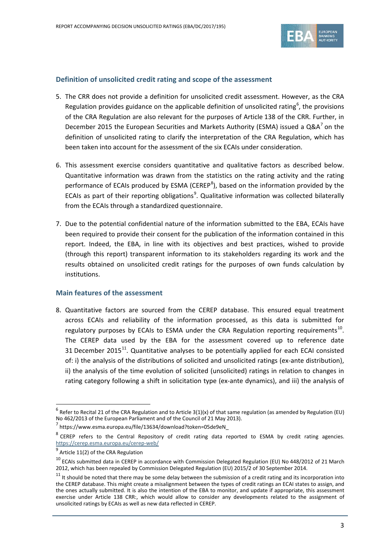

### **Definition of unsolicited credit rating and scope of the assessment**

- 5. The CRR does not provide a definition for unsolicited credit assessment. However, as the CRA Regulation provides guidance on the applicable definition of unsolicited rating<sup>[6](#page-2-0)</sup>, the provisions of the CRA Regulation are also relevant for the purposes of Article 138 of the CRR. Further, in December 2015 the European Securities and Markets Authority (ESMA) issued a  $QA^{7}$  $QA^{7}$  $QA^{7}$  on the definition of unsolicited rating to clarify the interpretation of the CRA Regulation, which has been taken into account for the assessment of the six ECAIs under consideration.
- 6. This assessment exercise considers quantitative and qualitative factors as described below. Quantitative information was drawn from the statistics on the rating activity and the rating performance of ECAIs produced by ESMA (CEREP<sup>[8](#page-2-2)</sup>), based on the information provided by the ECAIs as part of their reporting obligations<sup>[9](#page-2-3)</sup>. Qualitative information was collected bilaterally from the ECAIs through a standardized questionnaire.
- 7. Due to the potential confidential nature of the information submitted to the EBA, ECAIs have been required to provide their consent for the publication of the information contained in this report. Indeed, the EBA, in line with its objectives and best practices, wished to provide (through this report) transparent information to its stakeholders regarding its work and the results obtained on unsolicited credit ratings for the purposes of own funds calculation by institutions.

### **Main features of the assessment**

8. Quantitative factors are sourced from the CEREP database. This ensured equal treatment across ECAIs and reliability of the information processed, as this data is submitted for regulatory purposes by ECAIs to ESMA under the CRA Regulation reporting requirements<sup>[10](#page-2-4)</sup>. The CEREP data used by the EBA for the assessment covered up to reference date 31 December 2015 $^{11}$ . Quantitative analyses to be potentially applied for each ECAI consisted of: i) the analysis of the distributions of solicited and unsolicited ratings (ex-ante distribution), ii) the analysis of the time evolution of solicited (unsolicited) ratings in relation to changes in rating category following a shift in solicitation type (ex-ante dynamics), and iii) the analysis of

 $\overline{a}$ 

<span id="page-2-0"></span> $6$  Refer to Recital 21 of the CRA Regulation and to Article 3(1)(x) of that same regulation (as amended by Regulation (EU)<br>No 462/2013 of the European Parliament and of the Council of 21 May 2013).

<span id="page-2-1"></span> $\frac{7}{1}$ https://www.esma.europa.eu/file/13634/download?token=05de9eN

<span id="page-2-2"></span><sup>&</sup>lt;sup>8</sup> CEREP refers to the Central Repository of credit rating data reported to ESMA by credit rating agencies. <https://cerep.esma.europa.eu/cerep-web/>

<span id="page-2-3"></span> $<sup>9</sup>$  Article 11(2) of the CRA Regulation</sup>

<span id="page-2-4"></span> $^{10}$  ECAIs submitted data in CEREP in accordance with Commission Delegated Regulation (EU) No 448/2012 of 21 March 2012, which has been repealed by Commission Delegated Regulation (EU) 2015/2 of 30 September 2014.

<span id="page-2-5"></span> $11$  It should be noted that there may be some delay between the submission of a credit rating and its incorporation into the CEREP database. This might create a misalignment between the types of credit ratings an ECAI states to assign, and the ones actually submitted. It is also the intention of the EBA to monitor, and update if appropriate, this assessment exercise under Article 138 CRR:, which would allow to consider any developments related to the assignment of unsolicited ratings by ECAIs as well as new data reflected in CEREP.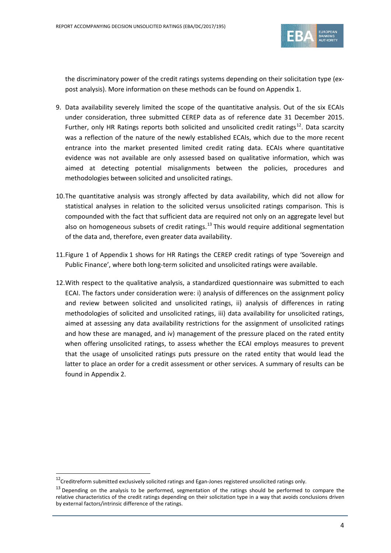

the discriminatory power of the credit ratings systems depending on their solicitation type (expost analysis). More information on these methods can be found on Appendix 1.

- 9. Data availability severely limited the scope of the quantitative analysis. Out of the six ECAIs under consideration, three submitted CEREP data as of reference date 31 December 2015. Further, only HR Ratings reports both solicited and unsolicited credit ratings<sup>12</sup>. Data scarcity was a reflection of the nature of the newly established ECAIs, which due to the more recent entrance into the market presented limited credit rating data. ECAIs where quantitative evidence was not available are only assessed based on qualitative information, which was aimed at detecting potential misalignments between the policies, procedures and methodologies between solicited and unsolicited ratings.
- 10.The quantitative analysis was strongly affected by data availability, which did not allow for statistical analyses in relation to the solicited versus unsolicited ratings comparison. This is compounded with the fact that sufficient data are required not only on an aggregate level but also on homogeneous subsets of credit ratings.<sup>[13](#page-3-1)</sup> This would require additional segmentation of the data and, therefore, even greater data availability.
- 11.Figure 1 of Appendix 1 shows for HR Ratings the CEREP credit ratings of type 'Sovereign and Public Finance', where both long-term solicited and unsolicited ratings were available.
- 12.With respect to the qualitative analysis, a standardized questionnaire was submitted to each ECAI. The factors under consideration were: i) analysis of differences on the assignment policy and review between solicited and unsolicited ratings, ii) analysis of differences in rating methodologies of solicited and unsolicited ratings, iii) data availability for unsolicited ratings, aimed at assessing any data availability restrictions for the assignment of unsolicited ratings and how these are managed, and iv) management of the pressure placed on the rated entity when offering unsolicited ratings, to assess whether the ECAI employs measures to prevent that the usage of unsolicited ratings puts pressure on the rated entity that would lead the latter to place an order for a credit assessment or other services. A summary of results can be found in Appendix 2.

 $\overline{a}$ 

<span id="page-3-0"></span> $12$ Creditreform submitted exclusively solicited ratings and Egan-Jones registered unsolicited ratings only.

<span id="page-3-1"></span> $13$  Depending on the analysis to be performed, segmentation of the ratings should be performed to compare the relative characteristics of the credit ratings depending on their solicitation type in a way that avoids conclusions driven by external factors/intrinsic difference of the ratings.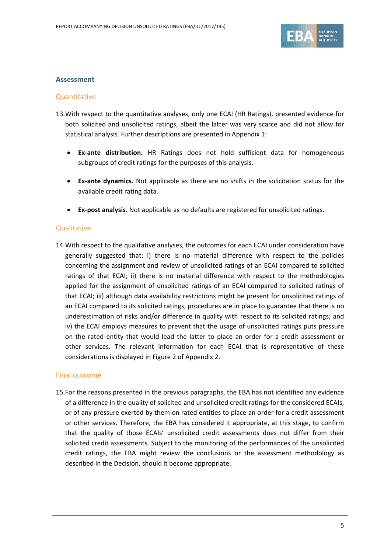

### **Assessment**

### **Quantitative**

- 13.With respect to the quantitative analyses, only one ECAI (HR Ratings), presented evidence for both solicited and unsolicited ratings, albeit the latter was very scarce and did not allow for statistical analysis. Further descriptions are presented in Appendix 1:
	- **Ex-ante distribution.** HR Ratings does not hold sufficient data for homogeneous subgroups of credit ratings for the purposes of this analysis.
	- **Ex-ante dynamics.** Not applicable as there are no shifts in the solicitation status for the available credit rating data.
	- **Ex-post analysis.** Not applicable as no defaults are registered for unsolicited ratings.

### **Qualitative**

14.With respect to the qualitative analyses, the outcomes for each ECAI under consideration have generally suggested that: i) there is no material difference with respect to the policies concerning the assignment and review of unsolicited ratings of an ECAI compared to solicited ratings of that ECAI; ii) there is no material difference with respect to the methodologies applied for the assignment of unsolicited ratings of an ECAI compared to solicited ratings of that ECAI; iii) although data availability restrictions might be present for unsolicited ratings of an ECAI compared to its solicited ratings, procedures are in place to guarantee that there is no underestimation of risks and/or difference in quality with respect to its solicited ratings; and iv) the ECAI employs measures to prevent that the usage of unsolicited ratings puts pressure on the rated entity that would lead the latter to place an order for a credit assessment or other services. The relevant information for each ECAI that is representative of these considerations is displayed in [Figure 2](#page-7-0) of Appendix 2.

### Final outcome

15.For the reasons presented in the previous paragraphs, the EBA has not identified any evidence of a difference in the quality of solicited and unsolicited credit ratings for the considered ECAIs, or of any pressure exerted by them on rated entities to place an order for a credit assessment or other services. Therefore, the EBA has considered it appropriate, at this stage, to confirm that the quality of those ECAIs' unsolicited credit assessments does not differ from their solicited credit assessments. Subject to the monitoring of the performances of the unsolicited credit ratings, the EBA might review the conclusions or the assessment methodology as described in the Decision, should it become appropriate.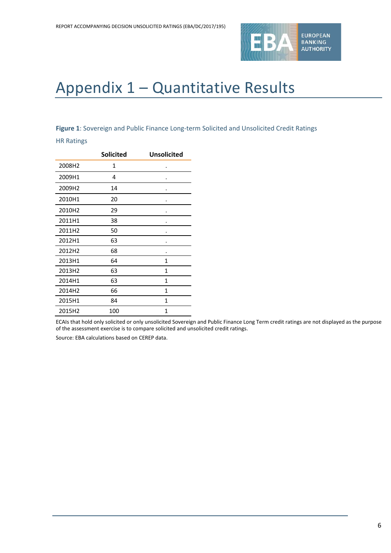

# Appendix 1 – Quantitative Results

### **Figure 1**: Sovereign and Public Finance Long-term Solicited and Unsolicited Credit Ratings

#### HR Ratings

|        | <b>Solicited</b> | <b>Unsolicited</b> |
|--------|------------------|--------------------|
| 2008H2 | 1                |                    |
| 2009H1 | 4                |                    |
| 2009H2 | 14               |                    |
| 2010H1 | 20               |                    |
| 2010H2 | 29               |                    |
| 2011H1 | 38               |                    |
| 2011H2 | 50               |                    |
| 2012H1 | 63               |                    |
| 2012H2 | 68               |                    |
| 2013H1 | 64               | $\mathbf{1}$       |
| 2013H2 | 63               | 1                  |
| 2014H1 | 63               | 1                  |
| 2014H2 | 66               | 1                  |
| 2015H1 | 84               | $\mathbf{1}$       |
| 2015H2 | 100              | 1                  |

ECAIs that hold only solicited or only unsolicited Sovereign and Public Finance Long Term credit ratings are not displayed as the purpose of the assessment exercise is to compare solicited and unsolicited credit ratings.

Source: EBA calculations based on CEREP data.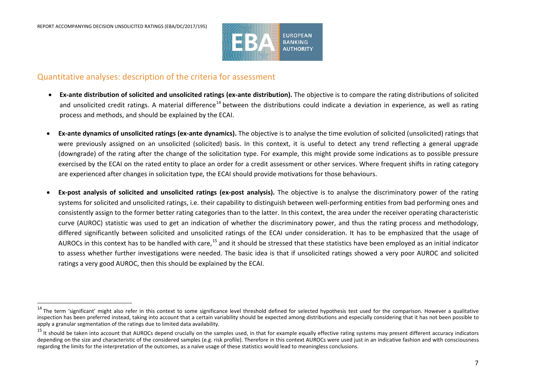j

<span id="page-6-1"></span><span id="page-6-0"></span>

### Quantitative analyses: description of the criteria for assessment

- **Ex-ante distribution of solicited and unsolicited ratings (ex-ante distribution).** The objective is to compare the rating distributions of solicited and unsolicited credit ratings. A material difference<sup>[14](#page-6-0)</sup> between the distributions could indicate a deviation in experience, as well as rating process and methods, and should be explained by the ECAI.
- **Ex-ante dynamics of unsolicited ratings (ex-ante dynamics).** The objective is to analyse the time evolution of solicited (unsolicited) ratings that were previously assigned on an unsolicited (solicited) basis. In this context, it is useful to detect any trend reflecting a general upgrade (downgrade) of the rating after the change of the solicitation type. For example, this might provide some indications as to possible pressure exercised by the ECAI on the rated entity to place an order for a credit assessment or other services. Where frequent shifts in rating category are experienced after changes in solicitation type, the ECAI should provide motivations for those behaviours.
- **Ex-post analysis of solicited and unsolicited ratings (ex-post analysis).** The objective is to analyse the discriminatory power of the rating systems for solicited and unsolicited ratings, i.e. their capability to distinguish between well-performing entities from bad performing ones and consistently assign to the former better rating categories than to the latter. In this context, the area under the receiver operating characteristic curve (AUROC) statistic was used to get an indication of whether the discriminatory power, and thus the rating process and methodology, differed significantly between solicited and unsolicited ratings of the ECAI under consideration. It has to be emphasized that the usage of AUROCs in this context has to be handled with care,<sup>[15](#page-6-1)</sup> and it should be stressed that these statistics have been employed as an initial indicator to assess whether further investigations were needed. The basic idea is that if unsolicited ratings showed a very poor AUROC and solicited ratings a very good AUROC, then this should be explained by the ECAI.

<sup>&</sup>lt;sup>14</sup> The term 'significant' might also refer in this context to some significance level threshold defined for selected hypothesis test used for the comparison. However a qualitative inspection has been preferred instead, taking into account that a certain variability should be expected among distributions and especially considering that it has not been possible to apply a granular segmentation of the ratings due to limited data availability.

<sup>&</sup>lt;sup>15</sup> It should be taken into account that AUROCs depend crucially on the samples used, in that for example equally effective rating systems may present different accuracy indicators depending on the size and characteristic of the considered samples (e.g. risk profile). Therefore in this context AUROCs were used just in an indicative fashion and with consciousness regarding the limits for the interpretation of the outcomes, as a naïve usage of these statistics would lead to meaningless conclusions.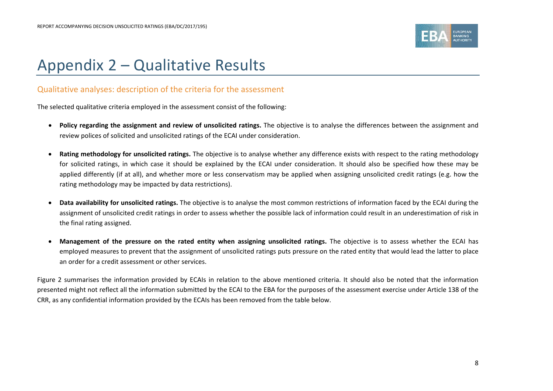

# Appendix 2 – Qualitative Results

## Qualitative analyses: description of the criteria for the assessment

The selected qualitative criteria employed in the assessment consist of the following:

- **Policy regarding the assignment and review of unsolicited ratings.** The objective is to analyse the differences between the assignment and review polices of solicited and unsolicited ratings of the ECAI under consideration.
- **Rating methodology for unsolicited ratings.** The objective is to analyse whether any difference exists with respect to the rating methodology for solicited ratings, in which case it should be explained by the ECAI under consideration. It should also be specified how these may be applied differently (if at all), and whether more or less conservatism may be applied when assigning unsolicited credit ratings (e.g. how the rating methodology may be impacted by data restrictions).
- **Data availability for unsolicited ratings.** The objective is to analyse the most common restrictions of information faced by the ECAI during the assignment of unsolicited credit ratings in order to assess whether the possible lack of information could result in an underestimation of risk in the final rating assigned.
- **Management of the pressure on the rated entity when assigning unsolicited ratings.** The objective is to assess whether the ECAI has employed measures to prevent that the assignment of unsolicited ratings puts pressure on the rated entity that would lead the latter to place an order for a credit assessment or other services.

<span id="page-7-0"></span>Figure 2 summarises the information provided by ECAIs in relation to the above mentioned criteria. It should also be noted that the information presented might not reflect all the information submitted by the ECAI to the EBA for the purposes of the assessment exercise under Article 138 of the CRR, as any confidential information provided by the ECAIs has been removed from the table below.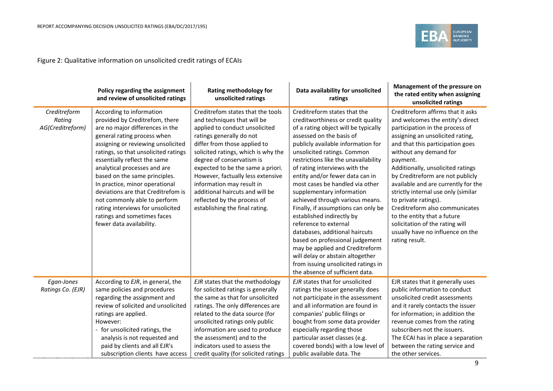

## Figure 2: Qualitative information on unsolicited credit ratings of ECAIs

|                                            | Policy regarding the assignment<br>and review of unsolicited ratings                                                                                                                                                                                                                                                                                                                                                                                                                                                | <b>Rating methodology for</b><br>unsolicited ratings                                                                                                                                                                                                                                                                                                                                                                                          | Data availability for unsolicited<br>ratings                                                                                                                                                                                                                                                                                                                                                                                                                                                                                                                                                                                                                                                                                                  | Management of the pressure on<br>the rated entity when assigning<br>unsolicited ratings                                                                                                                                                                                                                                                                                                                                                                                                                                                                         |
|--------------------------------------------|---------------------------------------------------------------------------------------------------------------------------------------------------------------------------------------------------------------------------------------------------------------------------------------------------------------------------------------------------------------------------------------------------------------------------------------------------------------------------------------------------------------------|-----------------------------------------------------------------------------------------------------------------------------------------------------------------------------------------------------------------------------------------------------------------------------------------------------------------------------------------------------------------------------------------------------------------------------------------------|-----------------------------------------------------------------------------------------------------------------------------------------------------------------------------------------------------------------------------------------------------------------------------------------------------------------------------------------------------------------------------------------------------------------------------------------------------------------------------------------------------------------------------------------------------------------------------------------------------------------------------------------------------------------------------------------------------------------------------------------------|-----------------------------------------------------------------------------------------------------------------------------------------------------------------------------------------------------------------------------------------------------------------------------------------------------------------------------------------------------------------------------------------------------------------------------------------------------------------------------------------------------------------------------------------------------------------|
| Creditreform<br>Rating<br>AG(Creditreform) | According to information<br>provided by Creditrefom, there<br>are no major differences in the<br>general rating process when<br>assigning or reviewing unsolicited<br>ratings, so that unsolicited ratings<br>essentially reflect the same<br>analytical processes and are<br>based on the same principles.<br>In practice, minor operational<br>deviations are that Creditrefom is<br>not commonly able to perform<br>rating interviews for unsolicited<br>ratings and sometimes faces<br>fewer data availability. | Creditrefom states that the tools<br>and techniques that will be<br>applied to conduct unsolicited<br>ratings generally do not<br>differ from those applied to<br>solicited ratings, which is why the<br>degree of conservatism is<br>expected to be the same a priori.<br>However, factually less extensive<br>information may result in<br>additional haircuts and will be<br>reflected by the process of<br>establishing the final rating. | Creditreform states that the<br>creditworthiness or credit quality<br>of a rating object will be typically<br>assessed on the basis of<br>publicly available information for<br>unsolicited ratings. Common<br>restrictions like the unavailability<br>of rating interviews with the<br>entity and/or fewer data can in<br>most cases be handled via other<br>supplementary information<br>achieved through various means.<br>Finally, if assumptions can only be<br>established indirectly by<br>reference to external<br>databases, additional haircuts<br>based on professional judgement<br>may be applied and Creditreform<br>will delay or abstain altogether<br>from issuing unsolicited ratings in<br>the absence of sufficient data. | Creditreform affirms that it asks<br>and welcomes the entity's direct<br>participation in the process of<br>assigning an unsolicited rating,<br>and that this participation goes<br>without any demand for<br>payment.<br>Additionally, unsolicited ratings<br>by Creditreform are not publicly<br>available and are currently for the<br>strictly internal use only (similar<br>to private ratings).<br>Creditreform also communicates<br>to the entity that a future<br>solicitation of the rating will<br>usually have no influence on the<br>rating result. |
| Egan-Jones<br>Ratings Co. (EJR)            | According to EJR, in general, the<br>same policies and procedures<br>regarding the assignment and<br>review of solicited and unsolicited<br>ratings are applied.<br>However:<br>for unsolicited ratings, the<br>analysis is not requested and<br>paid by clients and all EJR's<br>subscription clients have access                                                                                                                                                                                                  | EJR states that the methodology<br>for solicited ratings is generally<br>the same as that for unsolicited<br>ratings. The only differences are<br>related to the data source (for<br>unsolicited ratings only public<br>information are used to produce<br>the assessment) and to the<br>indicators used to assess the<br>credit quality (for solicited ratings                                                                               | EJR states that for unsolicited<br>ratings the issuer generally does<br>not participate in the assessment<br>and all information are found in<br>companies' public filings or<br>bought from some data provider<br>especially regarding those<br>particular asset classes (e.g.<br>covered bonds) with a low level of<br>public available data. The                                                                                                                                                                                                                                                                                                                                                                                           | EJR states that it generally uses<br>public information to conduct<br>unsolicited credit assessments<br>and it rarely contacts the issuer<br>for information; in addition the<br>revenue comes from the rating<br>subscribers not the issuers.<br>The ECAI has in place a separation<br>between the rating service and<br>the other services.                                                                                                                                                                                                                   |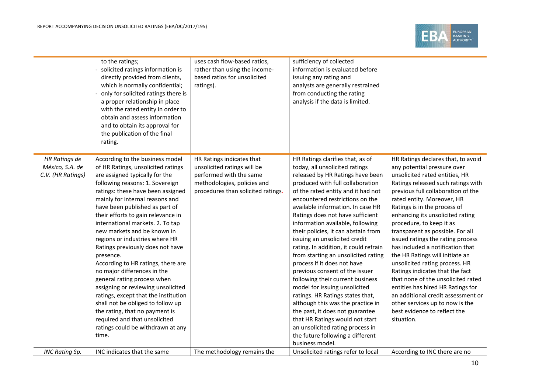

|                                                              | to the ratings;<br>solicited ratings information is<br>directly provided from clients,<br>which is normally confidential;<br>only for solicited ratings there is<br>a proper relationship in place<br>with the rated entity in order to<br>obtain and assess information<br>and to obtain its approval for<br>the publication of the final<br>rating.                                                                                                                                                                                                                                                                                                                                                                                                                                    | uses cash flow-based ratios,<br>rather than using the income-<br>based ratios for unsolicited<br>ratings).                                               | sufficiency of collected<br>information is evaluated before<br>issuing any rating and<br>analysts are generally restrained<br>from conducting the rating<br>analysis if the data is limited.                                                                                                                                                                                                                                                                                                                                                                                                                                                                                                                                                                                                                                                                             |                                                                                                                                                                                                                                                                                                                                                                                                                                                                                                                                                                                                                                                                                                                                      |
|--------------------------------------------------------------|------------------------------------------------------------------------------------------------------------------------------------------------------------------------------------------------------------------------------------------------------------------------------------------------------------------------------------------------------------------------------------------------------------------------------------------------------------------------------------------------------------------------------------------------------------------------------------------------------------------------------------------------------------------------------------------------------------------------------------------------------------------------------------------|----------------------------------------------------------------------------------------------------------------------------------------------------------|--------------------------------------------------------------------------------------------------------------------------------------------------------------------------------------------------------------------------------------------------------------------------------------------------------------------------------------------------------------------------------------------------------------------------------------------------------------------------------------------------------------------------------------------------------------------------------------------------------------------------------------------------------------------------------------------------------------------------------------------------------------------------------------------------------------------------------------------------------------------------|--------------------------------------------------------------------------------------------------------------------------------------------------------------------------------------------------------------------------------------------------------------------------------------------------------------------------------------------------------------------------------------------------------------------------------------------------------------------------------------------------------------------------------------------------------------------------------------------------------------------------------------------------------------------------------------------------------------------------------------|
| <b>HR Ratings de</b><br>México, S.A. de<br>C.V. (HR Ratings) | According to the business model<br>of HR Ratings, unsolicited ratings<br>are assigned typically for the<br>following reasons: 1. Sovereign<br>ratings: these have been assigned<br>mainly for internal reasons and<br>have been published as part of<br>their efforts to gain relevance in<br>international markets. 2. To tap<br>new markets and be known in<br>regions or industries where HR<br>Ratings previously does not have<br>presence.<br>According to HR ratings, there are<br>no major differences in the<br>general rating process when<br>assigning or reviewing unsolicited<br>ratings, except that the institution<br>shall not be obliged to follow up<br>the rating, that no payment is<br>required and that unsolicited<br>ratings could be withdrawn at any<br>time. | HR Ratings indicates that<br>unsolicited ratings will be<br>performed with the same<br>methodologies, policies and<br>procedures than solicited ratings. | HR Ratings clarifies that, as of<br>today, all unsolicited ratings<br>released by HR Ratings have been<br>produced with full collaboration<br>of the rated entity and it had not<br>encountered restrictions on the<br>available information. In case HR<br>Ratings does not have sufficient<br>information available, following<br>their policies, it can abstain from<br>issuing an unsolicited credit<br>rating. In addition, it could refrain<br>from starting an unsolicited rating<br>process if it does not have<br>previous consent of the issuer<br>following their current business<br>model for issuing unsolicited<br>ratings. HR Ratings states that,<br>although this was the practice in<br>the past, it does not guarantee<br>that HR Ratings would not start<br>an unsolicited rating process in<br>the future following a different<br>business model. | HR Ratings declares that, to avoid<br>any potential pressure over<br>unsolicited rated entities, HR<br>Ratings released such ratings with<br>previous full collaboration of the<br>rated entity. Moreover, HR<br>Ratings is in the process of<br>enhancing its unsolicited rating<br>procedure, to keep it as<br>transparent as possible. For all<br>issued ratings the rating process<br>has included a notification that<br>the HR Ratings will initiate an<br>unsolicited rating process. HR<br>Ratings indicates that the fact<br>that none of the unsolicited rated<br>entities has hired HR Ratings for<br>an additional credit assessment or<br>other services up to now is the<br>best evidence to reflect the<br>situation. |
| <b>INC Rating Sp.</b>                                        | INC indicates that the same                                                                                                                                                                                                                                                                                                                                                                                                                                                                                                                                                                                                                                                                                                                                                              | The methodology remains the                                                                                                                              | Unsolicited ratings refer to local                                                                                                                                                                                                                                                                                                                                                                                                                                                                                                                                                                                                                                                                                                                                                                                                                                       | According to INC there are no                                                                                                                                                                                                                                                                                                                                                                                                                                                                                                                                                                                                                                                                                                        |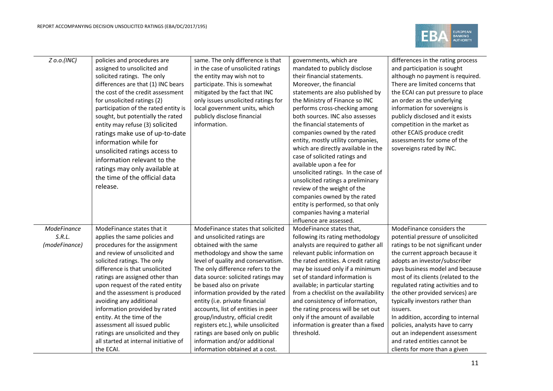

| $Z$ o.o.(INC) | policies and procedures are           | same. The only difference is that   | governments, which are                                            | differences in the rating process   |
|---------------|---------------------------------------|-------------------------------------|-------------------------------------------------------------------|-------------------------------------|
|               | assigned to unsolicited and           | in the case of unsolicited ratings  | mandated to publicly disclose                                     | and participation is sought         |
|               | solicited ratings. The only           | the entity may wish not to          | their financial statements.                                       | although no payment is required.    |
|               | differences are that (1) INC bears    | participate. This is somewhat       | Moreover, the financial                                           | There are limited concerns that     |
|               | the cost of the credit assessment     | mitigated by the fact that INC      | statements are also published by                                  | the ECAI can put pressure to place  |
|               | for unsolicited ratings (2)           | only issues unsolicited ratings for | the Ministry of Finance so INC                                    | an order as the underlying          |
|               | participation of the rated entity is  | local government units, which       | performs cross-checking among                                     | information for sovereigns is       |
|               | sought, but potentially the rated     | publicly disclose financial         | both sources. INC also assesses                                   | publicly disclosed and it exists    |
|               | entity may refuse (3) solicited       | information.                        | the financial statements of                                       | competition in the market as        |
|               | ratings make use of up-to-date        |                                     | companies owned by the rated                                      | other ECAIS produce credit          |
|               | information while for                 |                                     | entity, mostly utility companies,                                 | assessments for some of the         |
|               | unsolicited ratings access to         |                                     | which are directly available in the                               | sovereigns rated by INC.            |
|               | information relevant to the           |                                     | case of solicited ratings and                                     |                                     |
|               | ratings may only available at         |                                     | available upon a fee for                                          |                                     |
|               | the time of the official data         |                                     | unsolicited ratings. In the case of                               |                                     |
|               | release.                              |                                     | unsolicited ratings a preliminary                                 |                                     |
|               |                                       |                                     | review of the weight of the                                       |                                     |
|               |                                       |                                     | companies owned by the rated<br>entity is performed, so that only |                                     |
|               |                                       |                                     | companies having a material                                       |                                     |
|               |                                       |                                     | influence are assessed.                                           |                                     |
| ModeFinance   | ModeFinance states that it            | ModeFinance states that solicited   | ModeFinance states that,                                          | ModeFinance considers the           |
| S.R.L.        | applies the same policies and         | and unsolicited ratings are         | following its rating methodology                                  | potential pressure of unsolicited   |
| (modeFinance) | procedures for the assignment         | obtained with the same              | analysts are required to gather all                               | ratings to be not significant under |
|               | and review of unsolicited and         | methodology and show the same       | relevant public information on                                    | the current approach because it     |
|               | solicited ratings. The only           | level of quality and conservatism.  | the rated entities. A credit rating                               | adopts an investor/subscriber       |
|               | difference is that unsolicited        | The only difference refers to the   | may be issued only if a minimum                                   | pays business model and because     |
|               | ratings are assigned other than       | data source: solicited ratings may  | set of standard information is                                    | most of its clients (related to the |
|               | upon request of the rated entity      | be based also on private            | available; in particular starting                                 | regulated rating activities and to  |
|               | and the assessment is produced        | information provided by the rated   | from a checklist on the availability                              | the other provided services) are    |
|               | avoiding any additional               | entity (i.e. private financial      | and consistency of information,                                   | typically investors rather than     |
|               | information provided by rated         | accounts, list of entities in peer  | the rating process will be set out                                | issuers.                            |
|               | entity. At the time of the            | group/industry, official credit     | only if the amount of available                                   | In addition, according to internal  |
|               | assessment all issued public          | registers etc.), while unsolicited  | information is greater than a fixed                               | policies, analysts have to carry    |
|               | ratings are unsolicited and they      | ratings are based only on public    | threshold.                                                        | out an independent assessment       |
|               | all started at internal initiative of | information and/or additional       |                                                                   | and rated entities cannot be        |
|               | the ECAI.                             | information obtained at a cost.     |                                                                   | clients for more than a given       |